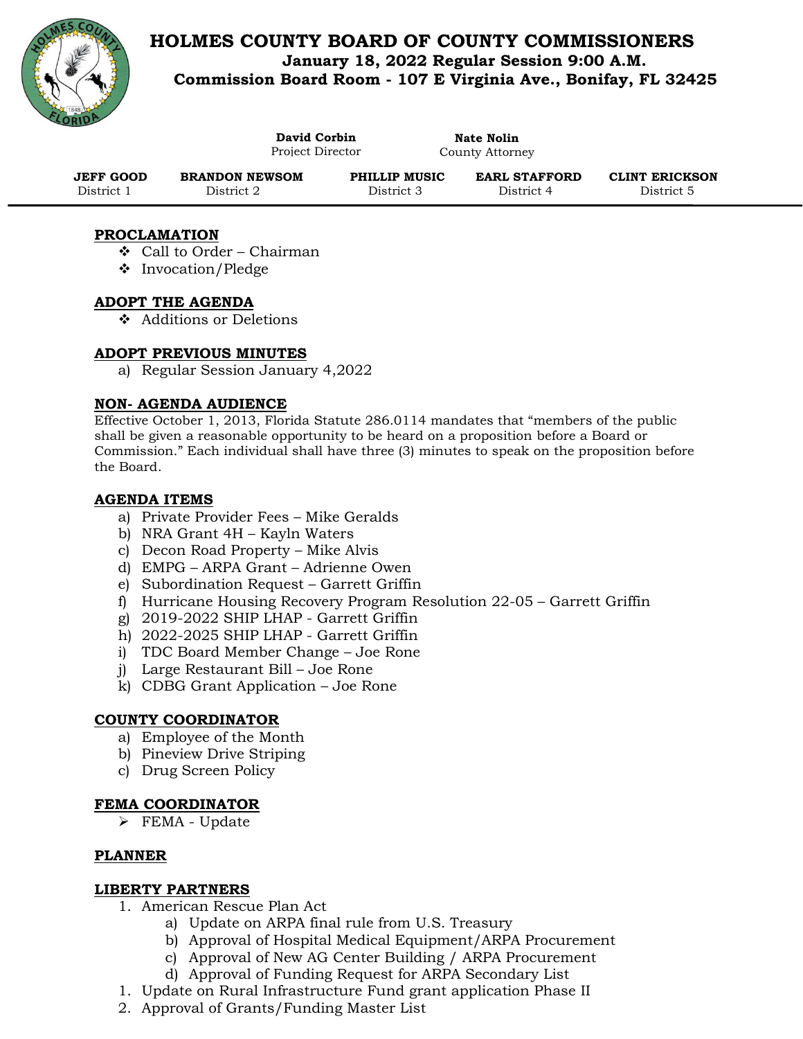

# **HOLMES COUNTY BOARD OF COUNTY COMMISSIONERS January 18, 2022 Regular Session 9:00 A.M. Commission Board Room - 107 E Virginia Ave., Bonifay, FL 32425**

|            | David Corbin<br>Project Director |               | Nate Nolin<br>County Attorney |                       |
|------------|----------------------------------|---------------|-------------------------------|-----------------------|
| JEFF GOOD  | <b>BRANDON NEWSOM</b>            | PHILLIP MUSIC | <b>EARL STAFFORD</b>          | <b>CLINT ERICKSON</b> |
| District 1 | District 2                       | District 3    | District 4                    | District 5            |

# **PROCLAMATION**

- ❖ Call to Order Chairman
- ❖ Invocation/Pledge

#### **ADOPT THE AGENDA**

❖ Additions or Deletions

# **ADOPT PREVIOUS MINUTES**

a) Regular Session January 4,2022

#### **NON- AGENDA AUDIENCE**

Effective October 1, 2013, Florida Statute 286.0114 mandates that "members of the public shall be given a reasonable opportunity to be heard on a proposition before a Board or Commission." Each individual shall have three (3) minutes to speak on the proposition before the Board.

#### **AGENDA ITEMS**

- a) Private Provider Fees Mike Geralds
- b) NRA Grant 4H Kayln Waters
- c) Decon Road Property Mike Alvis
- d) EMPG ARPA Grant Adrienne Owen
- e) Subordination Request Garrett Griffin
- f) Hurricane Housing Recovery Program Resolution 22-05 Garrett Griffin
- g) 2019-2022 SHIP LHAP Garrett Griffin
- h) 2022-2025 SHIP LHAP Garrett Griffin
- i) TDC Board Member Change Joe Rone
- j) Large Restaurant Bill Joe Rone
- k) CDBG Grant Application Joe Rone

#### **COUNTY COORDINATOR**

- a) Employee of the Month
- b) Pineview Drive Striping
- c) Drug Screen Policy

#### **FEMA COORDINATOR**

➢ FEMA - Update

#### **PLANNER**

#### **LIBERTY PARTNERS**

- 1. American Rescue Plan Act
	- a) Update on ARPA final rule from U.S. Treasury
	- b) Approval of Hospital Medical Equipment/ARPA Procurement
	- c) Approval of New AG Center Building / ARPA Procurement
	- d) Approval of Funding Request for ARPA Secondary List
- 1. Update on Rural Infrastructure Fund grant application Phase II
- 2. Approval of Grants/Funding Master List